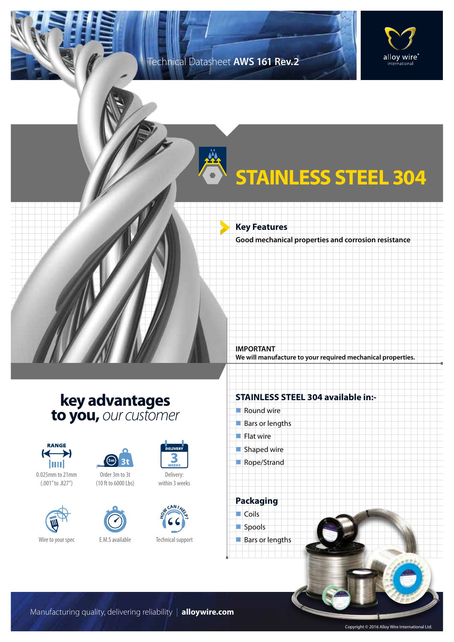### Technical Datasheet **AWS 161 Rev.2**



# **STAINLESS STEEL 304**

**Key Features**

**Good mechanical properties and corrosion resistance**

**We will manufacture to your required mechanical properties.**

## **key advantages to you,** *our customer*



0.025mm to 21mm (.001" to .827")





Order 3m to 3t (10 ft to 6000 Lbs)





Delivery: within 3 weeks



Technical support

#### **STAINLESS STEEL 304 available in:-**

 $\blacksquare$  Round wire

**IMPORTANT**

- Bars or lengths
- $\blacksquare$  Flat wire
- $\blacksquare$  Shaped wire
- Rope/Strand

**Packaging**  $\Box$  Coils



 $\blacksquare$  Bars or lengths

Manufacturing quality, delivering reliability | **alloywire.com**

Copyright © 2016 Alloy Wire International Ltd.